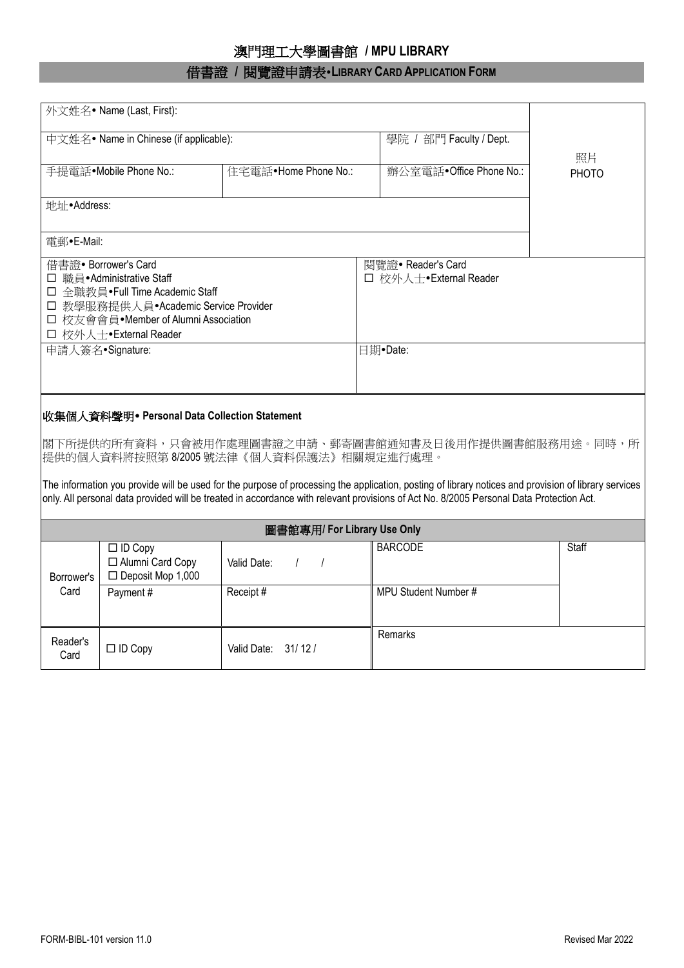## 澳門理工大學圖書館 **/ MPU LIBRARY**

## 借書證 **/** 閱覽證申請表**LIBRARY CARD APPLICATION FORM**

| 中文姓名• Name in Chinese (if applicable):<br>學院 / 部門 Faculty / Dept.<br>照片<br>辦公室電話·Office Phone No.:<br>手提電話·Mobile Phone No.:<br>住宅電話·Home Phone No.:<br>PHOTO<br>地址·Address:<br>雷郵•E-Mail:<br>借書證• Borrower's Card<br>閱覽證• Reader's Card<br>□ 職員 • Administrative Staff<br>□ 校外人士•External Reader<br>□ 全職教員 • Full Time Academic Staff<br>□ 教學服務提供人員•Academic Service Provider<br>□ 校友會會員•Member of Alumni Association<br>□ 校外人士·External Reader<br>申請人簽名•Signature:<br>日期•Date:<br>│收集個人資料聲明• Personal Data Collection Statement<br> 閣下所提供的所有資料,只會被用作處理圖書證之申請、郵寄圖書館通知書及日後用作提供圖書館服務用途。同時,所<br>提供的個人資料將按照第8/2005號法律《個人資料保護法》相關規定進行處理。<br>The information you provide will be used for the purpose of processing the application, posting of library notices and provision of library services<br>only. All personal data provided will be treated in accordance with relevant provisions of Act No. 8/2005 Personal Data Protection Act.<br>圖書館專用/ For Library Use Only<br><b>BARCODE</b><br>Staff<br>$\Box$ ID Copy<br>□ Alumni Card Copy<br>Valid Date:<br>$\prime$<br>$\prime$<br>$\Box$ Deposit Mop 1,000<br>Borrower's<br>MPU Student Number #<br>Card<br>Receipt #<br>Payment#<br>Remarks<br>Reader's<br>Valid Date: 31/12/<br>$\Box$ ID Copy<br>Card | 外文姓名• Name (Last, First): |  |  |  |  |  |  |  |  |  |  |  |
|------------------------------------------------------------------------------------------------------------------------------------------------------------------------------------------------------------------------------------------------------------------------------------------------------------------------------------------------------------------------------------------------------------------------------------------------------------------------------------------------------------------------------------------------------------------------------------------------------------------------------------------------------------------------------------------------------------------------------------------------------------------------------------------------------------------------------------------------------------------------------------------------------------------------------------------------------------------------------------------------------------------------------------------------------------------------------------------------------------------------------------------------------------------------------------------------------------------------------------------------------------|---------------------------|--|--|--|--|--|--|--|--|--|--|--|
|                                                                                                                                                                                                                                                                                                                                                                                                                                                                                                                                                                                                                                                                                                                                                                                                                                                                                                                                                                                                                                                                                                                                                                                                                                                            |                           |  |  |  |  |  |  |  |  |  |  |  |
|                                                                                                                                                                                                                                                                                                                                                                                                                                                                                                                                                                                                                                                                                                                                                                                                                                                                                                                                                                                                                                                                                                                                                                                                                                                            |                           |  |  |  |  |  |  |  |  |  |  |  |
|                                                                                                                                                                                                                                                                                                                                                                                                                                                                                                                                                                                                                                                                                                                                                                                                                                                                                                                                                                                                                                                                                                                                                                                                                                                            |                           |  |  |  |  |  |  |  |  |  |  |  |
|                                                                                                                                                                                                                                                                                                                                                                                                                                                                                                                                                                                                                                                                                                                                                                                                                                                                                                                                                                                                                                                                                                                                                                                                                                                            |                           |  |  |  |  |  |  |  |  |  |  |  |
|                                                                                                                                                                                                                                                                                                                                                                                                                                                                                                                                                                                                                                                                                                                                                                                                                                                                                                                                                                                                                                                                                                                                                                                                                                                            |                           |  |  |  |  |  |  |  |  |  |  |  |
|                                                                                                                                                                                                                                                                                                                                                                                                                                                                                                                                                                                                                                                                                                                                                                                                                                                                                                                                                                                                                                                                                                                                                                                                                                                            |                           |  |  |  |  |  |  |  |  |  |  |  |
|                                                                                                                                                                                                                                                                                                                                                                                                                                                                                                                                                                                                                                                                                                                                                                                                                                                                                                                                                                                                                                                                                                                                                                                                                                                            |                           |  |  |  |  |  |  |  |  |  |  |  |
|                                                                                                                                                                                                                                                                                                                                                                                                                                                                                                                                                                                                                                                                                                                                                                                                                                                                                                                                                                                                                                                                                                                                                                                                                                                            |                           |  |  |  |  |  |  |  |  |  |  |  |
|                                                                                                                                                                                                                                                                                                                                                                                                                                                                                                                                                                                                                                                                                                                                                                                                                                                                                                                                                                                                                                                                                                                                                                                                                                                            |                           |  |  |  |  |  |  |  |  |  |  |  |
|                                                                                                                                                                                                                                                                                                                                                                                                                                                                                                                                                                                                                                                                                                                                                                                                                                                                                                                                                                                                                                                                                                                                                                                                                                                            |                           |  |  |  |  |  |  |  |  |  |  |  |
|                                                                                                                                                                                                                                                                                                                                                                                                                                                                                                                                                                                                                                                                                                                                                                                                                                                                                                                                                                                                                                                                                                                                                                                                                                                            |                           |  |  |  |  |  |  |  |  |  |  |  |
|                                                                                                                                                                                                                                                                                                                                                                                                                                                                                                                                                                                                                                                                                                                                                                                                                                                                                                                                                                                                                                                                                                                                                                                                                                                            |                           |  |  |  |  |  |  |  |  |  |  |  |